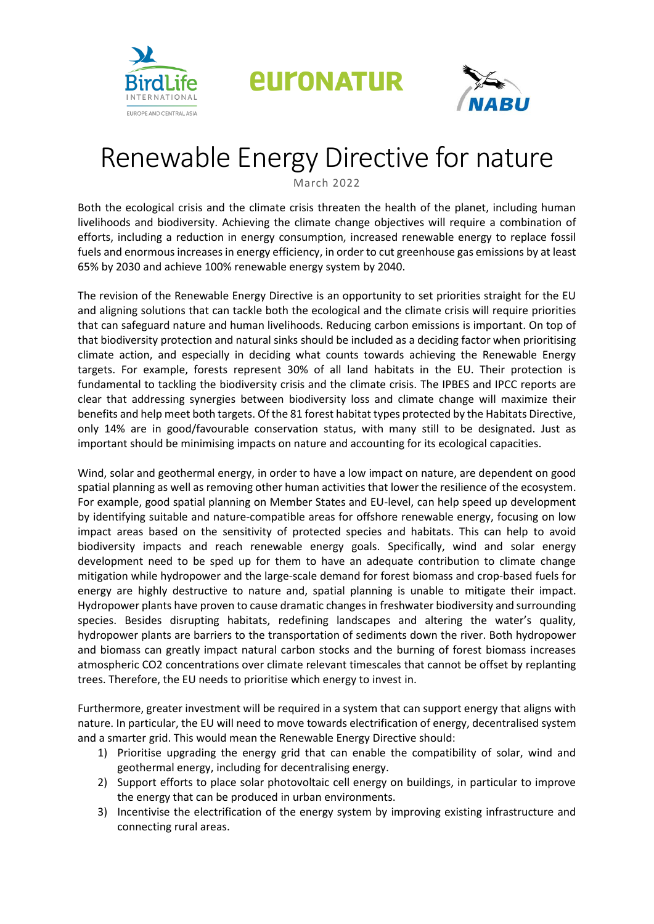

*<u>EULONATUR</u>* 



## Renewable Energy Directive for nature

March 2022

Both the ecological crisis and the climate crisis threaten the health of the planet, including human livelihoods and biodiversity. Achieving the climate change objectives will require a combination of efforts, including a reduction in energy consumption, increased renewable energy to replace fossil fuels and enormous increases in energy efficiency, in order to cut greenhouse gas emissions by at least 65% by 2030 and achieve 100% renewable energy system by 2040.

The revision of the Renewable Energy Directive is an opportunity to set priorities straight for the EU and aligning solutions that can tackle both the ecological and the climate crisis will require priorities that can safeguard nature and human livelihoods. Reducing carbon emissions is important. On top of that biodiversity protection and natural sinks should be included as a deciding factor when prioritising climate action, and especially in deciding what counts towards achieving the Renewable Energy targets. For example, forests represent 30% of all land habitats in the EU. Their protection is fundamental to tackling the biodiversity crisis and the climate crisis. The IPBES and IPCC reports are clear that addressing synergies between biodiversity loss and climate change will maximize their benefits and help meet both targets. Of the 81 forest habitat types protected by the Habitats Directive, only 14% are in good/favourable conservation status, with many still to be designated. Just as important should be minimising impacts on nature and accounting for its ecological capacities.

Wind, solar and geothermal energy, in order to have a low impact on nature, are dependent on good spatial planning as well as removing other human activities that lower the resilience of the ecosystem. For example, good spatial planning on Member States and EU-level, can help speed up development by identifying suitable and nature-compatible areas for offshore renewable energy, focusing on low impact areas based on the sensitivity of protected species and habitats. This can help to avoid biodiversity impacts and reach renewable energy goals. Specifically, wind and solar energy development need to be sped up for them to have an adequate contribution to climate change mitigation while hydropower and the large-scale demand for forest biomass and crop-based fuels for energy are highly destructive to nature and, spatial planning is unable to mitigate their impact. Hydropower plants have proven to cause dramatic changes in freshwater biodiversity and surrounding species. Besides disrupting habitats, redefining landscapes and altering the water's quality, hydropower plants are barriers to the transportation of sediments down the river. Both hydropower and biomass can greatly impact natural carbon stocks and the burning of forest biomass increases atmospheric CO2 concentrations over climate relevant timescales that cannot be offset by replanting trees. Therefore, the EU needs to prioritise which energy to invest in.

Furthermore, greater investment will be required in a system that can support energy that aligns with nature. In particular, the EU will need to move towards electrification of energy, decentralised system and a smarter grid. This would mean the Renewable Energy Directive should:

- 1) Prioritise upgrading the energy grid that can enable the compatibility of solar, wind and geothermal energy, including for decentralising energy.
- 2) Support efforts to place solar photovoltaic cell energy on buildings, in particular to improve the energy that can be produced in urban environments.
- 3) Incentivise the electrification of the energy system by improving existing infrastructure and connecting rural areas.